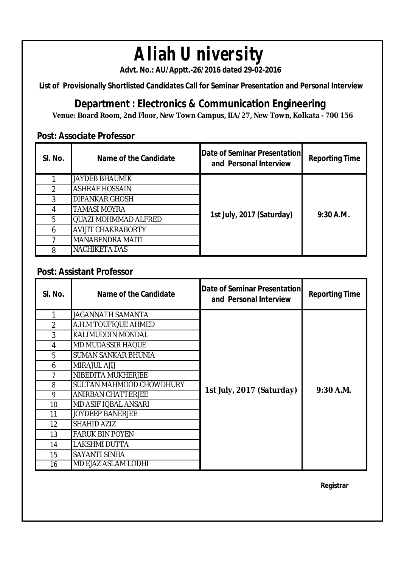# **Aliah University**

**Advt. No.: AU/Apptt.-26/2016 dated 29-02-2016** 

**List of Provisionally Shortlisted Candidates Call for Seminar Presentation and Personal Interview**

### **Department : Electronics & Communication Engineering**

**Venue: Board Room, 2nd Floor, New Town Campus, IIA/27, New Town, Kolkata - 700 156**

#### **Post: Associate Professor**

| SI. No. | Name of the Candidate       | Date of Seminar Presentation<br>and Personal Interview | <b>Reporting Time</b> |
|---------|-----------------------------|--------------------------------------------------------|-----------------------|
|         | <b>JAYDEB BHAUMIK</b>       | 1st July, 2017 (Saturday)                              | $9:30$ A.M.           |
|         | <b>ASHRAF HOSSAIN</b>       |                                                        |                       |
| 3       | <b>DIPANKAR GHOSH</b>       |                                                        |                       |
| 4       | <b>TAMASI MOYRA</b>         |                                                        |                       |
| 5       | <b>QUAZI MOHMMAD ALFRED</b> |                                                        |                       |
| 6       | <b>AVIJIT CHAKRABORTY</b>   |                                                        |                       |
|         | <b>MANABENDRA MAITI</b>     |                                                        |                       |
| 8       | <b>NACHIKETA DAS</b>        |                                                        |                       |

#### **Post: Assistant Professor**

| SI. No.        | Name of the Candidate      | Date of Seminar Presentation<br>and Personal Interview | <b>Reporting Time</b> |
|----------------|----------------------------|--------------------------------------------------------|-----------------------|
| 1              | JAGANNATH SAMANTA          |                                                        |                       |
| $\overline{2}$ | A.H.M TOUFIQUE AHMED       |                                                        |                       |
| 3              | KALIMUDDIN MONDAL          |                                                        |                       |
| 4              | <b>MD MUDASSIR HAQUE</b>   | 1st July, 2017 (Saturday)                              | 9:30 A.M.             |
| 5              | <b>SUMAN SANKAR BHUNIA</b> |                                                        |                       |
| 6              | <b>MIRAJUL AJIJ</b>        |                                                        |                       |
|                | NIBEDITA MUKHERJEE         |                                                        |                       |
| 8              | SULTAN MAHMOOD CHOWDHURY   |                                                        |                       |
| 9              | ANIRBAN CHATTERJEE         |                                                        |                       |
| 10             | MD ASIF IQBAL ANSARI       |                                                        |                       |
| 11             | <b>JOYDEEP BANERJEE</b>    |                                                        |                       |
| 12             | SHAHID AZIZ                |                                                        |                       |
| 13             | <b>FARUK BIN POYEN</b>     |                                                        |                       |
| 14             | LAKSHMI DUTTA              |                                                        |                       |
| 15             | SAYANTI SINHA              |                                                        |                       |
| 16             | <b>MD EJAZ ASLAM LODHI</b> |                                                        |                       |

**Registrar**